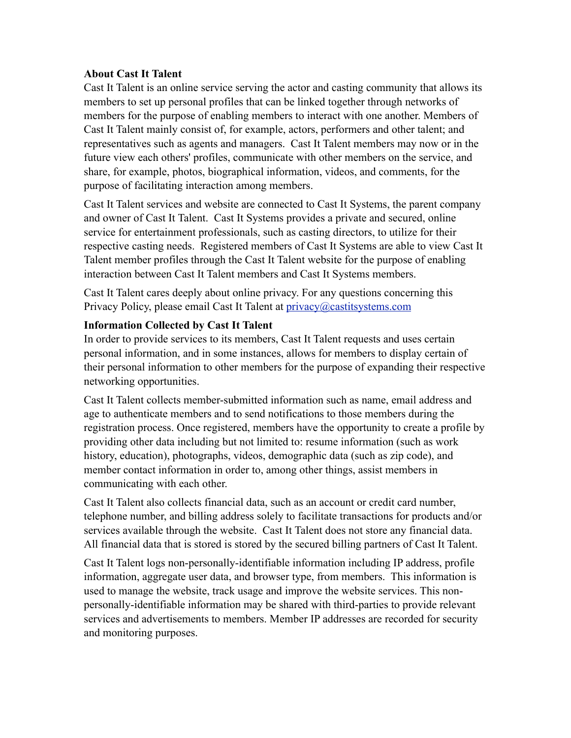### **About Cast It Talent**

Cast It Talent is an online service serving the actor and casting community that allows its members to set up personal profiles that can be linked together through networks of members for the purpose of enabling members to interact with one another. Members of Cast It Talent mainly consist of, for example, actors, performers and other talent; and representatives such as agents and managers. Cast It Talent members may now or in the future view each others' profiles, communicate with other members on the service, and share, for example, photos, biographical information, videos, and comments, for the purpose of facilitating interaction among members.

Cast It Talent services and website are connected to Cast It Systems, the parent company and owner of Cast It Talent. Cast It Systems provides a private and secured, online service for entertainment professionals, such as casting directors, to utilize for their respective casting needs. Registered members of Cast It Systems are able to view Cast It Talent member profiles through the Cast It Talent website for the purpose of enabling interaction between Cast It Talent members and Cast It Systems members.

Cast It Talent cares deeply about online privacy. For any questions concerning this Privacy Policy, please email Cast It Talent at [privacy@castitsystems.com](mailto:privacy@castitsystems.com)

### **Information Collected by Cast It Talent**

In order to provide services to its members, Cast It Talent requests and uses certain personal information, and in some instances, allows for members to display certain of their personal information to other members for the purpose of expanding their respective networking opportunities.

Cast It Talent collects member-submitted information such as name, email address and age to authenticate members and to send notifications to those members during the registration process. Once registered, members have the opportunity to create a profile by providing other data including but not limited to: resume information (such as work history, education), photographs, videos, demographic data (such as zip code), and member contact information in order to, among other things, assist members in communicating with each other.

Cast It Talent also collects financial data, such as an account or credit card number, telephone number, and billing address solely to facilitate transactions for products and/or services available through the website. Cast It Talent does not store any financial data. All financial data that is stored is stored by the secured billing partners of Cast It Talent.

Cast It Talent logs non-personally-identifiable information including IP address, profile information, aggregate user data, and browser type, from members. This information is used to manage the website, track usage and improve the website services. This nonpersonally-identifiable information may be shared with third-parties to provide relevant services and advertisements to members. Member IP addresses are recorded for security and monitoring purposes.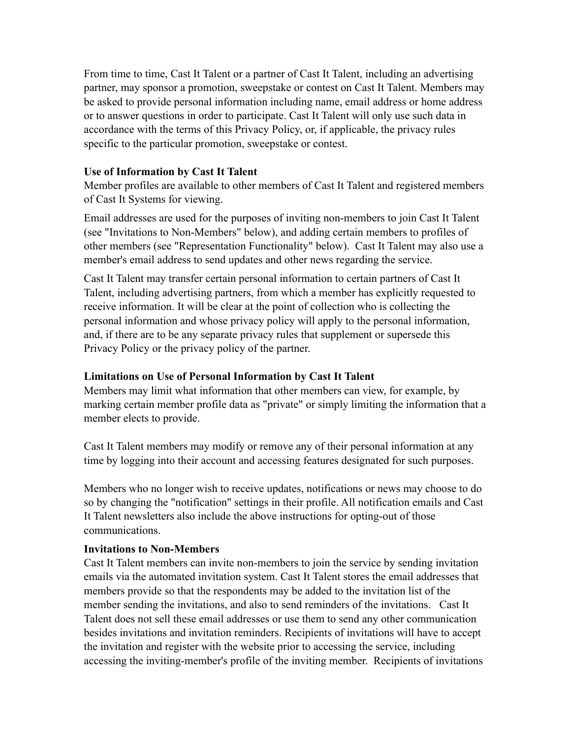From time to time, Cast It Talent or a partner of Cast It Talent, including an advertising partner, may sponsor a promotion, sweepstake or contest on Cast It Talent. Members may be asked to provide personal information including name, email address or home address or to answer questions in order to participate. Cast It Talent will only use such data in accordance with the terms of this Privacy Policy, or, if applicable, the privacy rules specific to the particular promotion, sweepstake or contest.

# **Use of Information by Cast It Talent**

Member profiles are available to other members of Cast It Talent and registered members of Cast It Systems for viewing.

Email addresses are used for the purposes of inviting non-members to join Cast It Talent (see "Invitations to Non-Members" below), and adding certain members to profiles of other members (see "Representation Functionality" below). Cast It Talent may also use a member's email address to send updates and other news regarding the service.

Cast It Talent may transfer certain personal information to certain partners of Cast It Talent, including advertising partners, from which a member has explicitly requested to receive information. It will be clear at the point of collection who is collecting the personal information and whose privacy policy will apply to the personal information, and, if there are to be any separate privacy rules that supplement or supersede this Privacy Policy or the privacy policy of the partner.

# **Limitations on Use of Personal Information by Cast It Talent**

Members may limit what information that other members can view, for example, by marking certain member profile data as "private" or simply limiting the information that a member elects to provide.

Cast It Talent members may modify or remove any of their personal information at any time by logging into their account and accessing features designated for such purposes.

Members who no longer wish to receive updates, notifications or news may choose to do so by changing the "notification" settings in their profile. All notification emails and Cast It Talent newsletters also include the above instructions for opting-out of those communications.

# **Invitations to Non-Members**

Cast It Talent members can invite non-members to join the service by sending invitation emails via the automated invitation system. Cast It Talent stores the email addresses that members provide so that the respondents may be added to the invitation list of the member sending the invitations, and also to send reminders of the invitations. Cast It Talent does not sell these email addresses or use them to send any other communication besides invitations and invitation reminders. Recipients of invitations will have to accept the invitation and register with the website prior to accessing the service, including accessing the inviting-member's profile of the inviting member. Recipients of invitations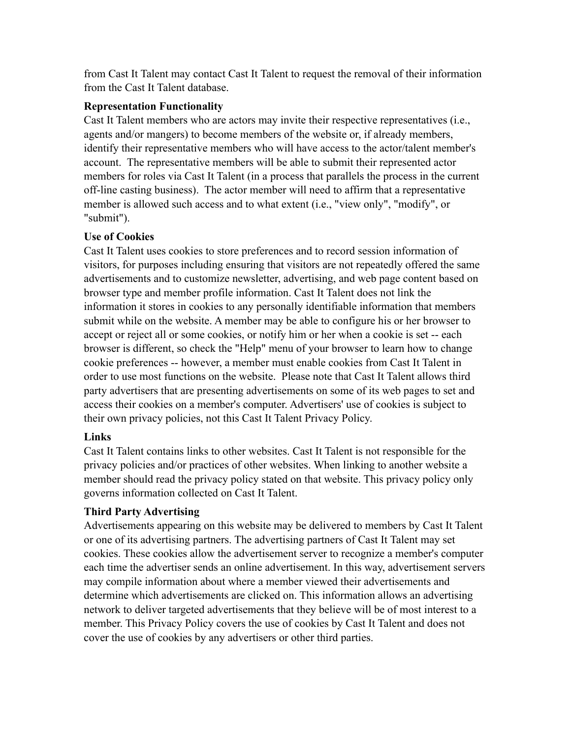from Cast It Talent may contact Cast It Talent to request the removal of their information from the Cast It Talent database.

# **Representation Functionality**

Cast It Talent members who are actors may invite their respective representatives (i.e., agents and/or mangers) to become members of the website or, if already members, identify their representative members who will have access to the actor/talent member's account. The representative members will be able to submit their represented actor members for roles via Cast It Talent (in a process that parallels the process in the current off-line casting business). The actor member will need to affirm that a representative member is allowed such access and to what extent (i.e., "view only", "modify", or "submit").

# **Use of Cookies**

Cast It Talent uses cookies to store preferences and to record session information of visitors, for purposes including ensuring that visitors are not repeatedly offered the same advertisements and to customize newsletter, advertising, and web page content based on browser type and member profile information. Cast It Talent does not link the information it stores in cookies to any personally identifiable information that members submit while on the website. A member may be able to configure his or her browser to accept or reject all or some cookies, or notify him or her when a cookie is set -- each browser is different, so check the "Help" menu of your browser to learn how to change cookie preferences -- however, a member must enable cookies from Cast It Talent in order to use most functions on the website. Please note that Cast It Talent allows third party advertisers that are presenting advertisements on some of its web pages to set and access their cookies on a member's computer. Advertisers' use of cookies is subject to their own privacy policies, not this Cast It Talent Privacy Policy.

# **Links**

Cast It Talent contains links to other websites. Cast It Talent is not responsible for the privacy policies and/or practices of other websites. When linking to another website a member should read the privacy policy stated on that website. This privacy policy only governs information collected on Cast It Talent.

# **Third Party Advertising**

Advertisements appearing on this website may be delivered to members by Cast It Talent or one of its advertising partners. The advertising partners of Cast It Talent may set cookies. These cookies allow the advertisement server to recognize a member's computer each time the advertiser sends an online advertisement. In this way, advertisement servers may compile information about where a member viewed their advertisements and determine which advertisements are clicked on. This information allows an advertising network to deliver targeted advertisements that they believe will be of most interest to a member. This Privacy Policy covers the use of cookies by Cast It Talent and does not cover the use of cookies by any advertisers or other third parties.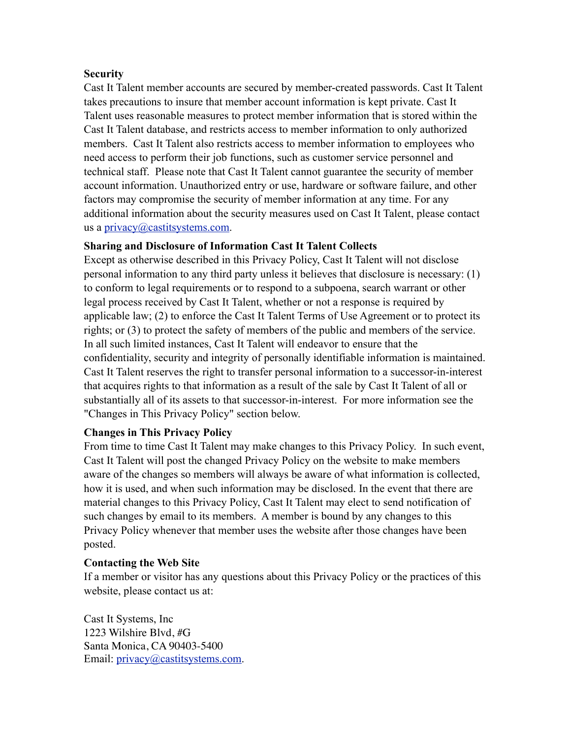### **Security**

Cast It Talent member accounts are secured by member-created passwords. Cast It Talent takes precautions to insure that member account information is kept private. Cast It Talent uses reasonable measures to protect member information that is stored within the Cast It Talent database, and restricts access to member information to only authorized members. Cast It Talent also restricts access to member information to employees who need access to perform their job functions, such as customer service personnel and technical staff. Please note that Cast It Talent cannot guarantee the security of member account information. Unauthorized entry or use, hardware or software failure, and other factors may compromise the security of member information at any time. For any additional information about the security measures used on Cast It Talent, please contact us a [privacy@castitsystems.com](mailto:privacy@castitsystems.com).

### **Sharing and Disclosure of Information Cast It Talent Collects**

Except as otherwise described in this Privacy Policy, Cast It Talent will not disclose personal information to any third party unless it believes that disclosure is necessary: (1) to conform to legal requirements or to respond to a subpoena, search warrant or other legal process received by Cast It Talent, whether or not a response is required by applicable law; (2) to enforce the Cast It Talent Terms of Use Agreement or to protect its rights; or (3) to protect the safety of members of the public and members of the service. In all such limited instances, Cast It Talent will endeavor to ensure that the confidentiality, security and integrity of personally identifiable information is maintained. Cast It Talent reserves the right to transfer personal information to a successor-in-interest that acquires rights to that information as a result of the sale by Cast It Talent of all or substantially all of its assets to that successor-in-interest. For more information see the "Changes in This Privacy Policy" section below.

# **Changes in This Privacy Policy**

From time to time Cast It Talent may make changes to this Privacy Policy. In such event, Cast It Talent will post the changed Privacy Policy on the website to make members aware of the changes so members will always be aware of what information is collected, how it is used, and when such information may be disclosed. In the event that there are material changes to this Privacy Policy, Cast It Talent may elect to send notification of such changes by email to its members. A member is bound by any changes to this Privacy Policy whenever that member uses the website after those changes have been posted.

#### **Contacting the Web Site**

If a member or visitor has any questions about this Privacy Policy or the practices of this website, please contact us at:

Cast It Systems, Inc 1223 Wilshire Blvd, #G Santa Monica, CA 90403-5400 Email: [privacy@castitsystems.com](mailto:privacy@castitsystems.com).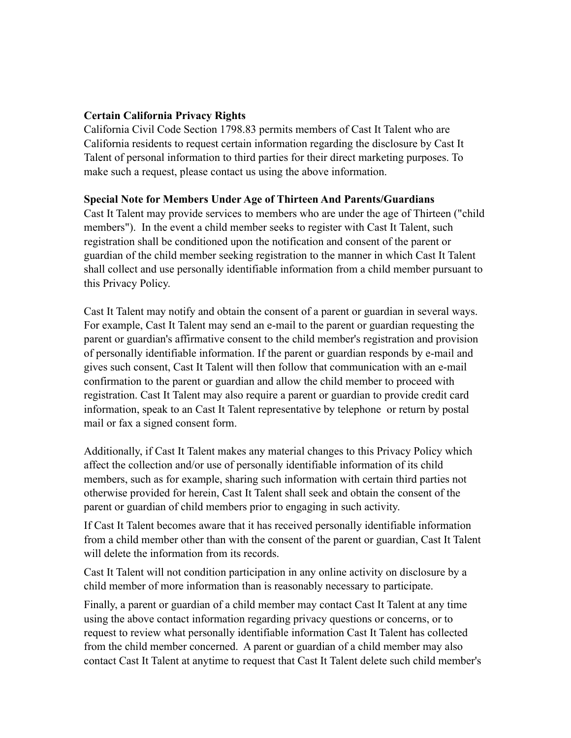### **Certain California Privacy Rights**

California Civil Code Section 1798.83 permits members of Cast It Talent who are California residents to request certain information regarding the disclosure by Cast It Talent of personal information to third parties for their direct marketing purposes. To make such a request, please contact us using the above information.

#### **Special Note for Members Under Age of Thirteen And Parents/Guardians**

Cast It Talent may provide services to members who are under the age of Thirteen ("child members"). In the event a child member seeks to register with Cast It Talent, such registration shall be conditioned upon the notification and consent of the parent or guardian of the child member seeking registration to the manner in which Cast It Talent shall collect and use personally identifiable information from a child member pursuant to this Privacy Policy.

Cast It Talent may notify and obtain the consent of a parent or guardian in several ways. For example, Cast It Talent may send an e-mail to the parent or guardian requesting the parent or guardian's affirmative consent to the child member's registration and provision of personally identifiable information. If the parent or guardian responds by e-mail and gives such consent, Cast It Talent will then follow that communication with an e-mail confirmation to the parent or guardian and allow the child member to proceed with registration. Cast It Talent may also require a parent or guardian to provide credit card information, speak to an Cast It Talent representative by telephone or return by postal mail or fax a signed consent form.

Additionally, if Cast It Talent makes any material changes to this Privacy Policy which affect the collection and/or use of personally identifiable information of its child members, such as for example, sharing such information with certain third parties not otherwise provided for herein, Cast It Talent shall seek and obtain the consent of the parent or guardian of child members prior to engaging in such activity.

If Cast It Talent becomes aware that it has received personally identifiable information from a child member other than with the consent of the parent or guardian, Cast It Talent will delete the information from its records.

Cast It Talent will not condition participation in any online activity on disclosure by a child member of more information than is reasonably necessary to participate.

Finally, a parent or guardian of a child member may contact Cast It Talent at any time using the above contact information regarding privacy questions or concerns, or to request to review what personally identifiable information Cast It Talent has collected from the child member concerned. A parent or guardian of a child member may also contact Cast It Talent at anytime to request that Cast It Talent delete such child member's